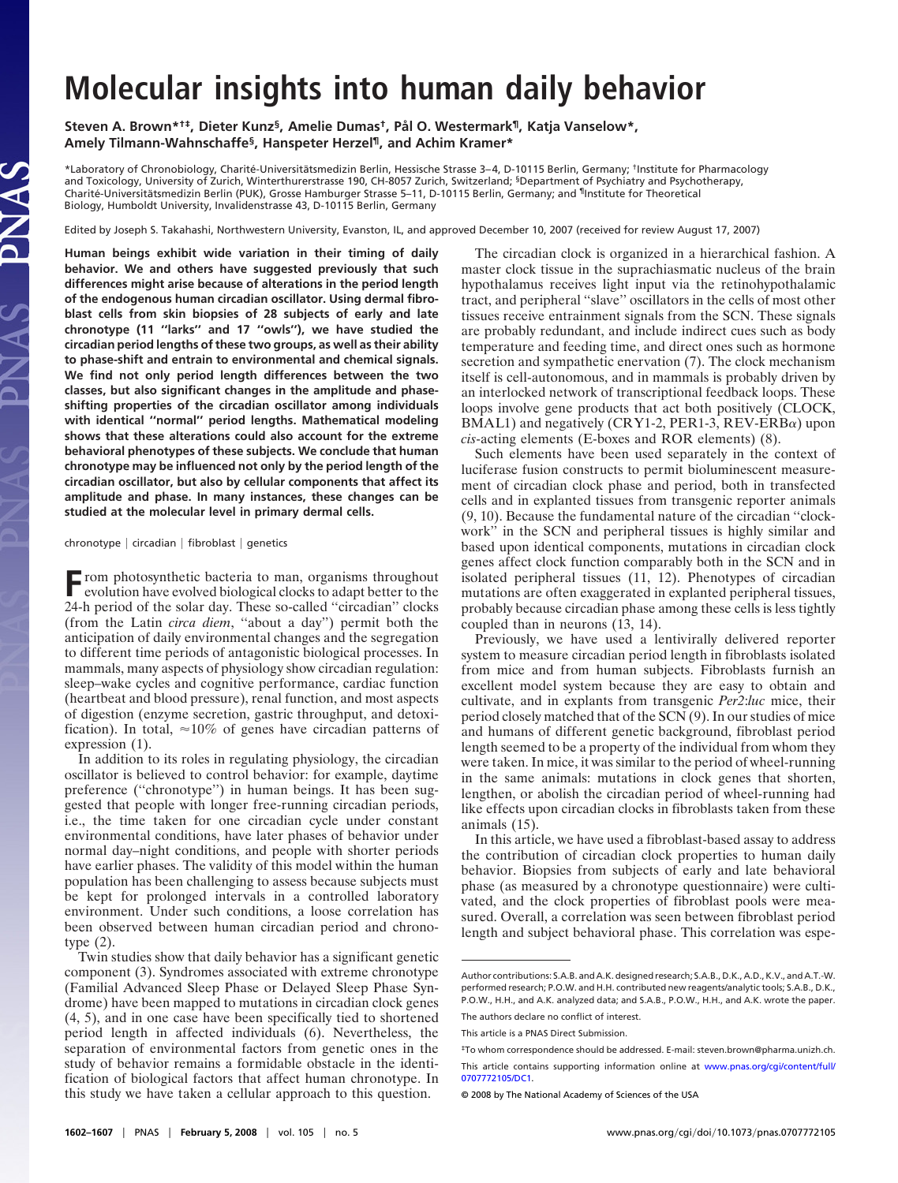# **Molecular insights into human daily behavior**

**Steven A. Brown\*†‡, Dieter Kunz§, Amelie Dumas†, Pål O. Westermark¶, Katja Vanselow\*, Amely Tilmann-Wahnschaffe§, Hanspeter Herzel¶, and Achim Kramer\***

\*Laboratory of Chronobiology, Charité-Universitätsmedizin Berlin, Hessische Strasse 3–4, D-10115 Berlin, Germany; †Institute for Pharmacology and Toxicology, University of Zurich, Winterthurerstrasse 190, CH-8057 Zurich, Switzerland; <sup>§</sup>Department of Psychiatry and Psychotherapy, Charité-Universitätsmedizin Berlin (PUK), Grosse Hamburger Strasse 5–11, D-10115 Berlin, Germany; and <sup>¶</sup>Institute for Theoretical Biology, Humboldt University, Invalidenstrasse 43, D-10115 Berlin, Germany

Edited by Joseph S. Takahashi, Northwestern University, Evanston, IL, and approved December 10, 2007 (received for review August 17, 2007)

**Human beings exhibit wide variation in their timing of daily behavior. We and others have suggested previously that such differences might arise because of alterations in the period length of the endogenous human circadian oscillator. Using dermal fibroblast cells from skin biopsies of 28 subjects of early and late chronotype (11 ''larks'' and 17 ''owls''), we have studied the circadian period lengths of these two groups, as well as their ability to phase-shift and entrain to environmental and chemical signals. We find not only period length differences between the two classes, but also significant changes in the amplitude and phaseshifting properties of the circadian oscillator among individuals with identical ''normal'' period lengths. Mathematical modeling shows that these alterations could also account for the extreme behavioral phenotypes of these subjects. We conclude that human chronotype may be influenced not only by the period length of the circadian oscillator, but also by cellular components that affect its amplitude and phase. In many instances, these changes can be studied at the molecular level in primary dermal cells.**

#### $chronotype$  | circadian | fibroblast | genetics

**From photosynthetic bacteria to man, organisms throughout** evolution have evolved bightarian in the set of the set of the set of the set of the set of the set of the set of the set of the set of the set of the set of the evolution have evolved biological clocks to adapt better to the 24-h period of the solar day. These so-called ''circadian'' clocks (from the Latin *circa diem*, ''about a day'') permit both the anticipation of daily environmental changes and the segregation to different time periods of antagonistic biological processes. In mammals, many aspects of physiology show circadian regulation: sleep–wake cycles and cognitive performance, cardiac function (heartbeat and blood pressure), renal function, and most aspects of digestion (enzyme secretion, gastric throughput, and detoxification). In total,  $\approx 10\%$  of genes have circadian patterns of expression (1).

In addition to its roles in regulating physiology, the circadian oscillator is believed to control behavior: for example, daytime preference (''chronotype'') in human beings. It has been suggested that people with longer free-running circadian periods, i.e., the time taken for one circadian cycle under constant environmental conditions, have later phases of behavior under normal day–night conditions, and people with shorter periods have earlier phases. The validity of this model within the human population has been challenging to assess because subjects must be kept for prolonged intervals in a controlled laboratory environment. Under such conditions, a loose correlation has been observed between human circadian period and chronotype (2).

Twin studies show that daily behavior has a significant genetic component (3). Syndromes associated with extreme chronotype (Familial Advanced Sleep Phase or Delayed Sleep Phase Syndrome) have been mapped to mutations in circadian clock genes (4, 5), and in one case have been specifically tied to shortened period length in affected individuals (6). Nevertheless, the separation of environmental factors from genetic ones in the study of behavior remains a formidable obstacle in the identification of biological factors that affect human chronotype. In this study we have taken a cellular approach to this question.

The circadian clock is organized in a hierarchical fashion. A master clock tissue in the suprachiasmatic nucleus of the brain hypothalamus receives light input via the retinohypothalamic tract, and peripheral ''slave'' oscillators in the cells of most other tissues receive entrainment signals from the SCN. These signals are probably redundant, and include indirect cues such as body temperature and feeding time, and direct ones such as hormone secretion and sympathetic enervation (7). The clock mechanism itself is cell-autonomous, and in mammals is probably driven by an interlocked network of transcriptional feedback loops. These loops involve gene products that act both positively (CLOCK,  $BMAL1$ ) and negatively (CRY1-2, PER1-3, REV-ERB $\alpha$ ) upon *cis*-acting elements (E-boxes and ROR elements) (8).

Such elements have been used separately in the context of luciferase fusion constructs to permit bioluminescent measurement of circadian clock phase and period, both in transfected cells and in explanted tissues from transgenic reporter animals (9, 10). Because the fundamental nature of the circadian ''clockwork'' in the SCN and peripheral tissues is highly similar and based upon identical components, mutations in circadian clock genes affect clock function comparably both in the SCN and in isolated peripheral tissues (11, 12). Phenotypes of circadian mutations are often exaggerated in explanted peripheral tissues, probably because circadian phase among these cells is less tightly coupled than in neurons (13, 14).

Previously, we have used a lentivirally delivered reporter system to measure circadian period length in fibroblasts isolated from mice and from human subjects. Fibroblasts furnish an excellent model system because they are easy to obtain and cultivate, and in explants from transgenic *Per2*:*luc* mice, their period closely matched that of the SCN (9). In our studies of mice and humans of different genetic background, fibroblast period length seemed to be a property of the individual from whom they were taken. In mice, it was similar to the period of wheel-running in the same animals: mutations in clock genes that shorten, lengthen, or abolish the circadian period of wheel-running had like effects upon circadian clocks in fibroblasts taken from these animals (15).

In this article, we have used a fibroblast-based assay to address the contribution of circadian clock properties to human daily behavior. Biopsies from subjects of early and late behavioral phase (as measured by a chronotype questionnaire) were cultivated, and the clock properties of fibroblast pools were measured. Overall, a correlation was seen between fibroblast period length and subject behavioral phase. This correlation was espe-

Author contributions: S.A.B. and A.K. designed research; S.A.B., D.K., A.D., K.V., and A.T.-W. performed research; P.O.W. and H.H. contributed new reagents/analytic tools; S.A.B., D.K., P.O.W., H.H., and A.K. analyzed data; and S.A.B., P.O.W., H.H., and A.K. wrote the paper.

The authors declare no conflict of interest.

This article is a PNAS Direct Submission.

<sup>‡</sup>To whom correspondence should be addressed. E-mail: steven.brown@pharma.unizh.ch.

This article contains supporting information online at [www.pnas.org/cgi/content/full/](http://www.pnas.org/cgi/content/full/0707772105/DC1) [0707772105/DC1.](http://www.pnas.org/cgi/content/full/0707772105/DC1)

<sup>© 2008</sup> by The National Academy of Sciences of the USA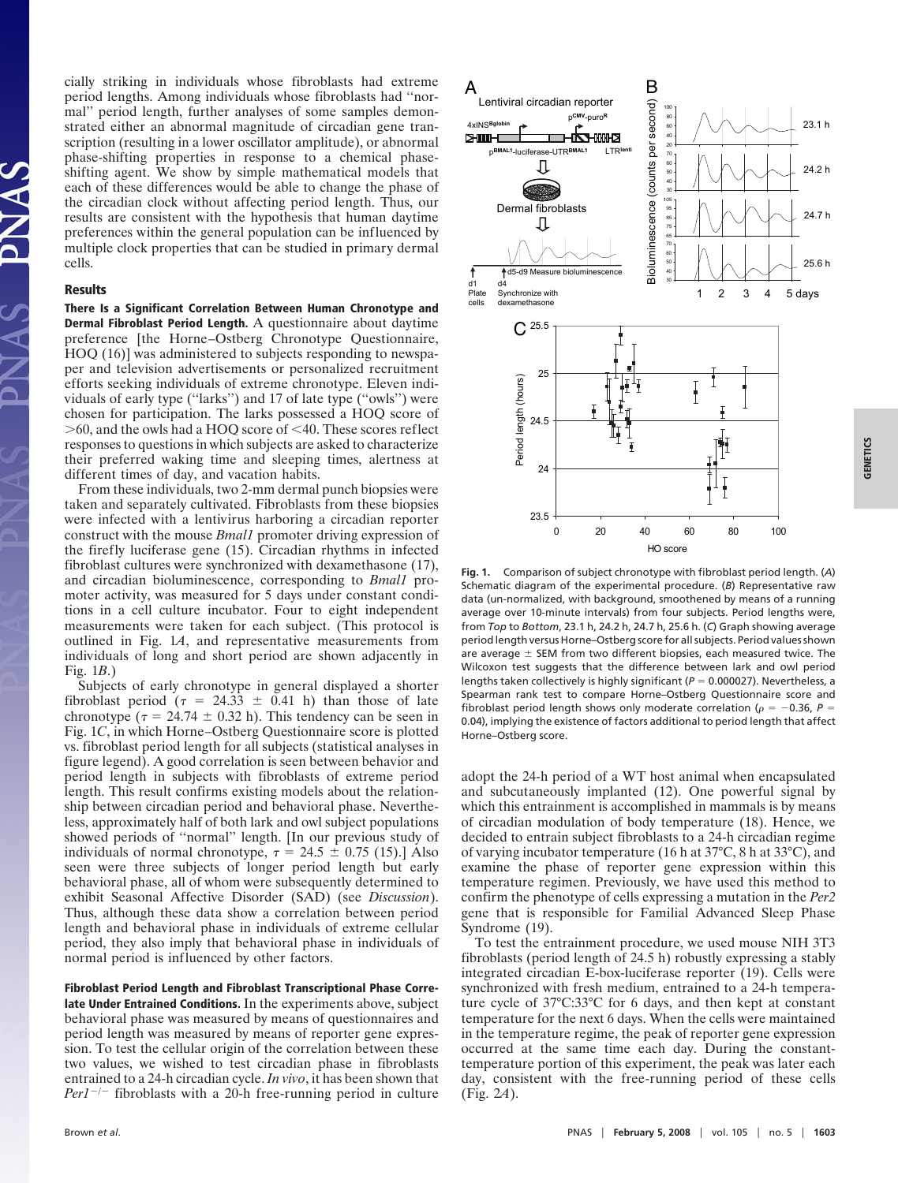cially striking in individuals whose fibroblasts had extreme period lengths. Among individuals whose fibroblasts had ''normal'' period length, further analyses of some samples demonstrated either an abnormal magnitude of circadian gene transcription (resulting in a lower oscillator amplitude), or abnormal phase-shifting properties in response to a chemical phaseshifting agent. We show by simple mathematical models that each of these differences would be able to change the phase of the circadian clock without affecting period length. Thus, our results are consistent with the hypothesis that human daytime preferences within the general population can be influenced by multiple clock properties that can be studied in primary dermal cells.

## **Results**

**There Is a Significant Correlation Between Human Chronotype and Dermal Fibroblast Period Length.** A questionnaire about daytime preference [the Horne–Ostberg Chronotype Questionnaire, HOQ (16)] was administered to subjects responding to newspaper and television advertisements or personalized recruitment efforts seeking individuals of extreme chronotype. Eleven individuals of early type (''larks'') and 17 of late type (''owls'') were chosen for participation. The larks possessed a HOQ score of  $>60$ , and the owls had a HOQ score of  $<$ 40. These scores reflect responses to questions in which subjects are asked to characterize their preferred waking time and sleeping times, alertness at different times of day, and vacation habits.

From these individuals, two 2-mm dermal punch biopsies were taken and separately cultivated. Fibroblasts from these biopsies were infected with a lentivirus harboring a circadian reporter construct with the mouse *Bmal1* promoter driving expression of the firefly luciferase gene (15). Circadian rhythms in infected fibroblast cultures were synchronized with dexamethasone (17), and circadian bioluminescence, corresponding to *Bmal1* promoter activity, was measured for 5 days under constant conditions in a cell culture incubator. Four to eight independent measurements were taken for each subject. (This protocol is outlined in Fig. 1*A*, and representative measurements from individuals of long and short period are shown adjacently in Fig. 1*B*.)

Subjects of early chronotype in general displayed a shorter fibroblast period ( $\tau = 24.33 \pm 0.41$  h) than those of late chronotype ( $\tau$  = 24.74  $\pm$  0.32 h). This tendency can be seen in Fig. 1*C*, in which Horne–Ostberg Questionnaire score is plotted vs. fibroblast period length for all subjects (statistical analyses in figure legend). A good correlation is seen between behavior and period length in subjects with fibroblasts of extreme period length. This result confirms existing models about the relationship between circadian period and behavioral phase. Nevertheless, approximately half of both lark and owl subject populations showed periods of ''normal'' length. [In our previous study of individuals of normal chronotype,  $\tau = 24.5 \pm 0.75$  (15).] Also seen were three subjects of longer period length but early behavioral phase, all of whom were subsequently determined to exhibit Seasonal Affective Disorder (SAD) (see *Discussion*). Thus, although these data show a correlation between period length and behavioral phase in individuals of extreme cellular period, they also imply that behavioral phase in individuals of normal period is influenced by other factors.

**Fibroblast Period Length and Fibroblast Transcriptional Phase Correlate Under Entrained Conditions.** In the experiments above, subject behavioral phase was measured by means of questionnaires and period length was measured by means of reporter gene expression. To test the cellular origin of the correlation between these two values, we wished to test circadian phase in fibroblasts entrained to a 24-h circadian cycle. *In vivo*, it has been shown that *Per1<sup>-/-</sup>* fibroblasts with a 20-h free-running period in culture



**Fig. 1.** Comparison of subject chronotype with fibroblast period length. (*A*) Schematic diagram of the experimental procedure. (*B*) Representative raw data (un-normalized, with background, smoothened by means of a running average over 10-minute intervals) from four subjects. Period lengths were, from *Top* to *Bottom*, 23.1 h, 24.2 h, 24.7 h, 25.6 h. (*C*) Graph showing average period length versus Horne–Ostberg score for all subjects. Period values shown are average  $\pm$  SEM from two different biopsies, each measured twice. The Wilcoxon test suggests that the difference between lark and owl period lengths taken collectively is highly significant ( $P = 0.000027$ ). Nevertheless, a Spearman rank test to compare Horne–Ostberg Questionnaire score and fibroblast period length shows only moderate correlation ( $\rho = -0.36$ ,  $P =$ 0.04), implying the existence of factors additional to period length that affect Horne–Ostberg score.

adopt the 24-h period of a WT host animal when encapsulated and subcutaneously implanted (12). One powerful signal by which this entrainment is accomplished in mammals is by means of circadian modulation of body temperature (18). Hence, we decided to entrain subject fibroblasts to a 24-h circadian regime of varying incubator temperature (16 h at 37°C, 8 h at 33°C), and examine the phase of reporter gene expression within this temperature regimen. Previously, we have used this method to confirm the phenotype of cells expressing a mutation in the *Per2* gene that is responsible for Familial Advanced Sleep Phase Syndrome (19).

To test the entrainment procedure, we used mouse NIH 3T3 fibroblasts (period length of 24.5 h) robustly expressing a stably integrated circadian E-box-luciferase reporter (19). Cells were synchronized with fresh medium, entrained to a 24-h temperature cycle of 37°C:33°C for 6 days, and then kept at constant temperature for the next 6 days. When the cells were maintained in the temperature regime, the peak of reporter gene expression occurred at the same time each day. During the constanttemperature portion of this experiment, the peak was later each day, consistent with the free-running period of these cells (Fig. 2*A*).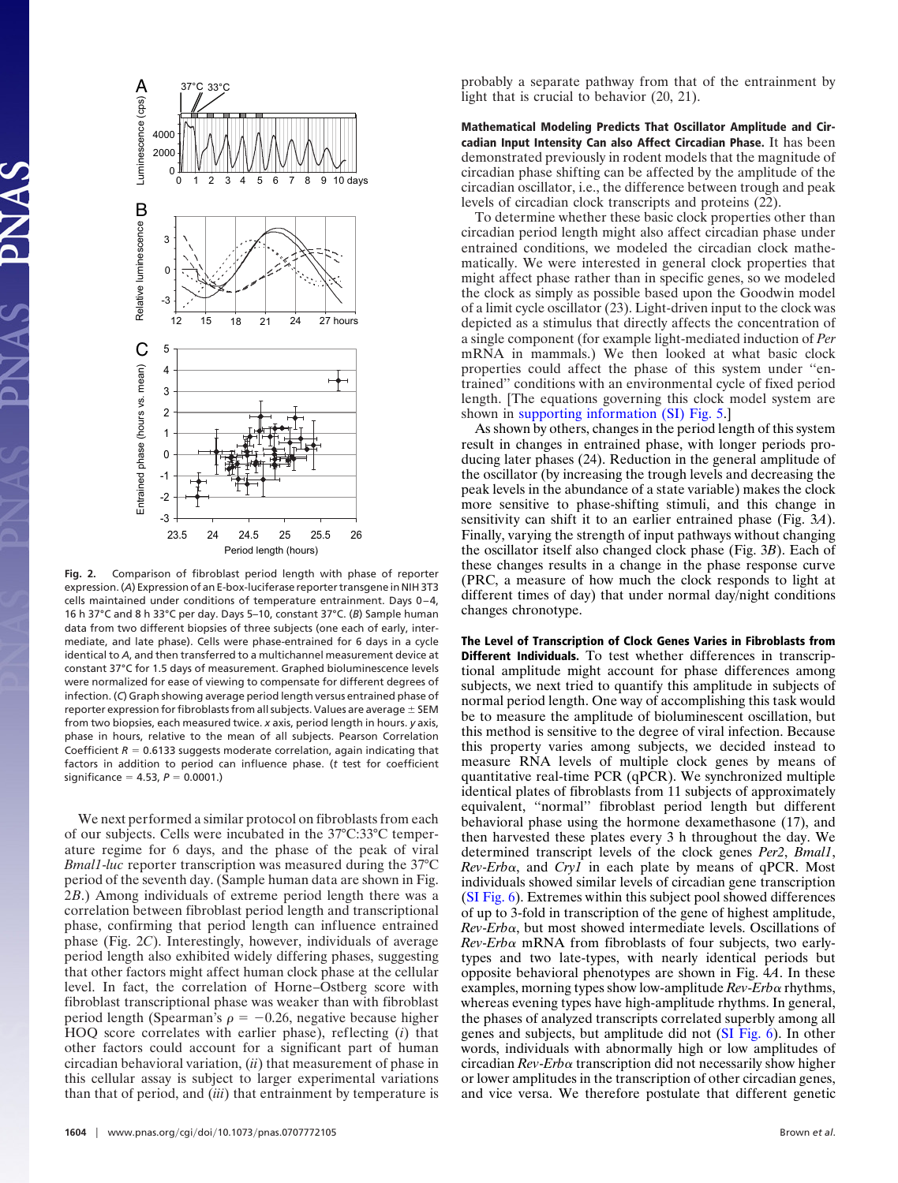

**Fig. 2.** Comparison of fibroblast period length with phase of reporter expression. (*A*) Expression of an E-box-luciferase reporter transgene in NIH 3T3 cells maintained under conditions of temperature entrainment. Days 0–4, 16 h 37°C and 8 h 33°C per day. Days 5–10, constant 37°C. (*B*) Sample human data from two different biopsies of three subjects (one each of early, intermediate, and late phase). Cells were phase-entrained for 6 days in a cycle identical to *A*, and then transferred to a multichannel measurement device at constant 37°C for 1.5 days of measurement. Graphed bioluminescence levels were normalized for ease of viewing to compensate for different degrees of infection. (*C*) Graph showing average period length versus entrained phase of reporter expression for fibroblasts from all subjects. Values are average  $\pm$  SEM from two biopsies, each measured twice. *x* axis, period length in hours. *y* axis, phase in hours, relative to the mean of all subjects. Pearson Correlation Coefficient  $R = 0.6133$  suggests moderate correlation, again indicating that factors in addition to period can influence phase. (*t* test for coefficient significance = 4.53,  $P = 0.0001$ .)

We next performed a similar protocol on fibroblasts from each of our subjects. Cells were incubated in the 37°C:33°C temperature regime for 6 days, and the phase of the peak of viral *Bmal1*-*luc* reporter transcription was measured during the 37°C period of the seventh day. (Sample human data are shown in Fig. 2*B*.) Among individuals of extreme period length there was a correlation between fibroblast period length and transcriptional phase, confirming that period length can influence entrained phase (Fig. 2*C*). Interestingly, however, individuals of average period length also exhibited widely differing phases, suggesting that other factors might affect human clock phase at the cellular level. In fact, the correlation of Horne–Ostberg score with fibroblast transcriptional phase was weaker than with fibroblast period length (Spearman's  $\rho = -0.26$ , negative because higher HOQ score correlates with earlier phase), reflecting (*i*) that other factors could account for a significant part of human circadian behavioral variation, (*ii*) that measurement of phase in this cellular assay is subject to larger experimental variations than that of period, and (*iii*) that entrainment by temperature is

probably a separate pathway from that of the entrainment by light that is crucial to behavior (20, 21).

**Mathematical Modeling Predicts That Oscillator Amplitude and Circadian Input Intensity Can also Affect Circadian Phase.** It has been demonstrated previously in rodent models that the magnitude of circadian phase shifting can be affected by the amplitude of the circadian oscillator, i.e., the difference between trough and peak levels of circadian clock transcripts and proteins (22).

To determine whether these basic clock properties other than circadian period length might also affect circadian phase under entrained conditions, we modeled the circadian clock mathematically. We were interested in general clock properties that might affect phase rather than in specific genes, so we modeled the clock as simply as possible based upon the Goodwin model of a limit cycle oscillator (23). Light-driven input to the clock was depicted as a stimulus that directly affects the concentration of a single component (for example light-mediated induction of *Per* mRNA in mammals.) We then looked at what basic clock properties could affect the phase of this system under ''entrained'' conditions with an environmental cycle of fixed period length. [The equations governing this clock model system are shown in [supporting information \(SI\) Fig. 5.](http://www.pnas.org/cgi/content/full/0707772105/DC1)]

As shown by others, changes in the period length of this system result in changes in entrained phase, with longer periods producing later phases (24). Reduction in the general amplitude of the oscillator (by increasing the trough levels and decreasing the peak levels in the abundance of a state variable) makes the clock more sensitive to phase-shifting stimuli, and this change in sensitivity can shift it to an earlier entrained phase (Fig. 3*A*). Finally, varying the strength of input pathways without changing the oscillator itself also changed clock phase (Fig. 3*B*). Each of these changes results in a change in the phase response curve (PRC, a measure of how much the clock responds to light at different times of day) that under normal day/night conditions changes chronotype.

**The Level of Transcription of Clock Genes Varies in Fibroblasts from Different Individuals.** To test whether differences in transcriptional amplitude might account for phase differences among subjects, we next tried to quantify this amplitude in subjects of normal period length. One way of accomplishing this task would be to measure the amplitude of bioluminescent oscillation, but this method is sensitive to the degree of viral infection. Because this property varies among subjects, we decided instead to measure RNA levels of multiple clock genes by means of quantitative real-time PCR (qPCR). We synchronized multiple identical plates of fibroblasts from 11 subjects of approximately equivalent, ''normal'' fibroblast period length but different behavioral phase using the hormone dexamethasone (17), and then harvested these plates every 3 h throughout the day. We determined transcript levels of the clock genes *Per2*, *Bmal1*,  $Rev-Erb\alpha$ , and  $Cry1$  in each plate by means of qPCR. Most individuals showed similar levels of circadian gene transcription [\(SI Fig. 6\)](http://www.pnas.org/cgi/content/full/0707772105/DC1). Extremes within this subject pool showed differences of up to 3-fold in transcription of the gene of highest amplitude,  $Rev-Erb\alpha$ , but most showed intermediate levels. Oscillations of  $Rev-Erb\alpha$  mRNA from fibroblasts of four subjects, two earlytypes and two late-types, with nearly identical periods but opposite behavioral phenotypes are shown in Fig. 4*A*. In these examples, morning types show low-amplitude  $Rev-Erb\alpha$  rhythms, whereas evening types have high-amplitude rhythms. In general, the phases of analyzed transcripts correlated superbly among all genes and subjects, but amplitude did not [\(SI Fig. 6\)](http://www.pnas.org/cgi/content/full/0707772105/DC1). In other words, individuals with abnormally high or low amplitudes of circadian  $Rev-Erb\alpha$  transcription did not necessarily show higher or lower amplitudes in the transcription of other circadian genes, and vice versa. We therefore postulate that different genetic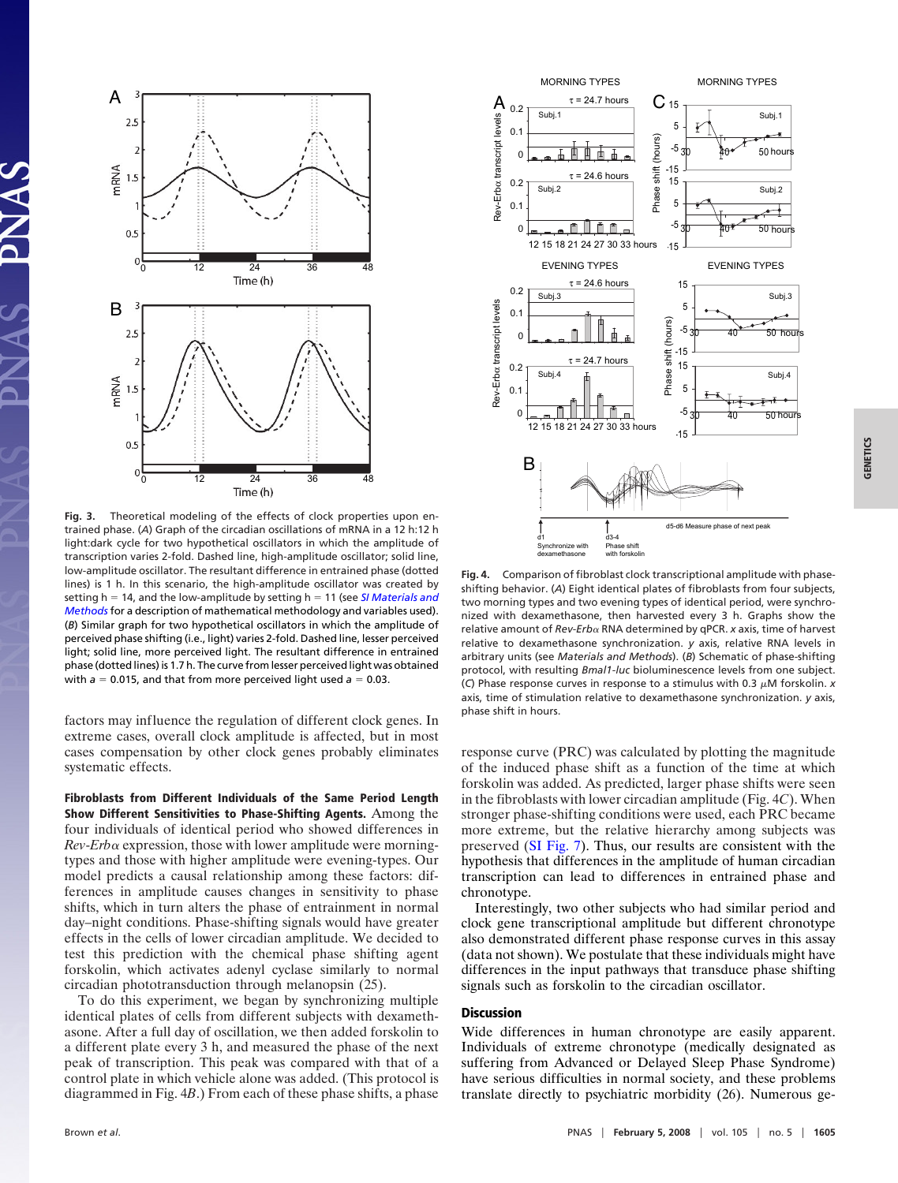

**Fig. 3.** Theoretical modeling of the effects of clock properties upon entrained phase. (*A*) Graph of the circadian oscillations of mRNA in a 12 h:12 h light:dark cycle for two hypothetical oscillators in which the amplitude of transcription varies 2-fold. Dashed line, high-amplitude oscillator; solid line, low-amplitude oscillator. The resultant difference in entrained phase (dotted lines) is 1 h. In this scenario, the high-amplitude oscillator was created by setting h = 14, and the low-amplitude by setting h = 11 (see *[SI Materials and](http://www.pnas.org/cgi/content/full/0707772105/DC1) [Methods](http://www.pnas.org/cgi/content/full/0707772105/DC1)* for a description of mathematical methodology and variables used). (*B*) Similar graph for two hypothetical oscillators in which the amplitude of perceived phase shifting (i.e., light) varies 2-fold. Dashed line, lesser perceived light; solid line, more perceived light. The resultant difference in entrained phase (dotted lines) is 1.7 h. The curve from lesser perceived light was obtained with  $a = 0.015$ , and that from more perceived light used  $a = 0.03$ .

factors may influence the regulation of different clock genes. In extreme cases, overall clock amplitude is affected, but in most cases compensation by other clock genes probably eliminates systematic effects.

**Fibroblasts from Different Individuals of the Same Period Length Show Different Sensitivities to Phase-Shifting Agents.** Among the four individuals of identical period who showed differences in  $Rev-Erb\alpha$  expression, those with lower amplitude were morningtypes and those with higher amplitude were evening-types. Our model predicts a causal relationship among these factors: differences in amplitude causes changes in sensitivity to phase shifts, which in turn alters the phase of entrainment in normal day–night conditions. Phase-shifting signals would have greater effects in the cells of lower circadian amplitude. We decided to test this prediction with the chemical phase shifting agent forskolin, which activates adenyl cyclase similarly to normal circadian phototransduction through melanopsin (25).

To do this experiment, we began by synchronizing multiple identical plates of cells from different subjects with dexamethasone. After a full day of oscillation, we then added forskolin to a different plate every 3 h, and measured the phase of the next peak of transcription. This peak was compared with that of a control plate in which vehicle alone was added. (This protocol is diagrammed in Fig. 4*B*.) From each of these phase shifts, a phase



**Fig. 4.** Comparison of fibroblast clock transcriptional amplitude with phaseshifting behavior. (*A*) Eight identical plates of fibroblasts from four subjects, two morning types and two evening types of identical period, were synchronized with dexamethasone, then harvested every 3 h. Graphs show the relative amount of *Rev-Erb*α RNA determined by qPCR. *x* axis, time of harvest relative to dexamethasone synchronization. *y* axis, relative RNA levels in arbitrary units (see *Materials and Methods*). (*B*) Schematic of phase-shifting protocol, with resulting *Bmal1*-*luc* bioluminescence levels from one subject. (C) Phase response curves in response to a stimulus with 0.3  $\mu$ M forskolin. *x* axis, time of stimulation relative to dexamethasone synchronization. *y* axis, phase shift in hours.

response curve (PRC) was calculated by plotting the magnitude of the induced phase shift as a function of the time at which forskolin was added. As predicted, larger phase shifts were seen in the fibroblasts with lower circadian amplitude (Fig. 4*C*). When stronger phase-shifting conditions were used, each PRC became more extreme, but the relative hierarchy among subjects was preserved [\(SI Fig. 7\)](http://www.pnas.org/cgi/content/full/0707772105/DC1). Thus, our results are consistent with the hypothesis that differences in the amplitude of human circadian transcription can lead to differences in entrained phase and chronotype.

Interestingly, two other subjects who had similar period and clock gene transcriptional amplitude but different chronotype also demonstrated different phase response curves in this assay (data not shown). We postulate that these individuals might have differences in the input pathways that transduce phase shifting signals such as forskolin to the circadian oscillator.

## **Discussion**

Wide differences in human chronotype are easily apparent. Individuals of extreme chronotype (medically designated as suffering from Advanced or Delayed Sleep Phase Syndrome) have serious difficulties in normal society, and these problems translate directly to psychiatric morbidity (26). Numerous ge-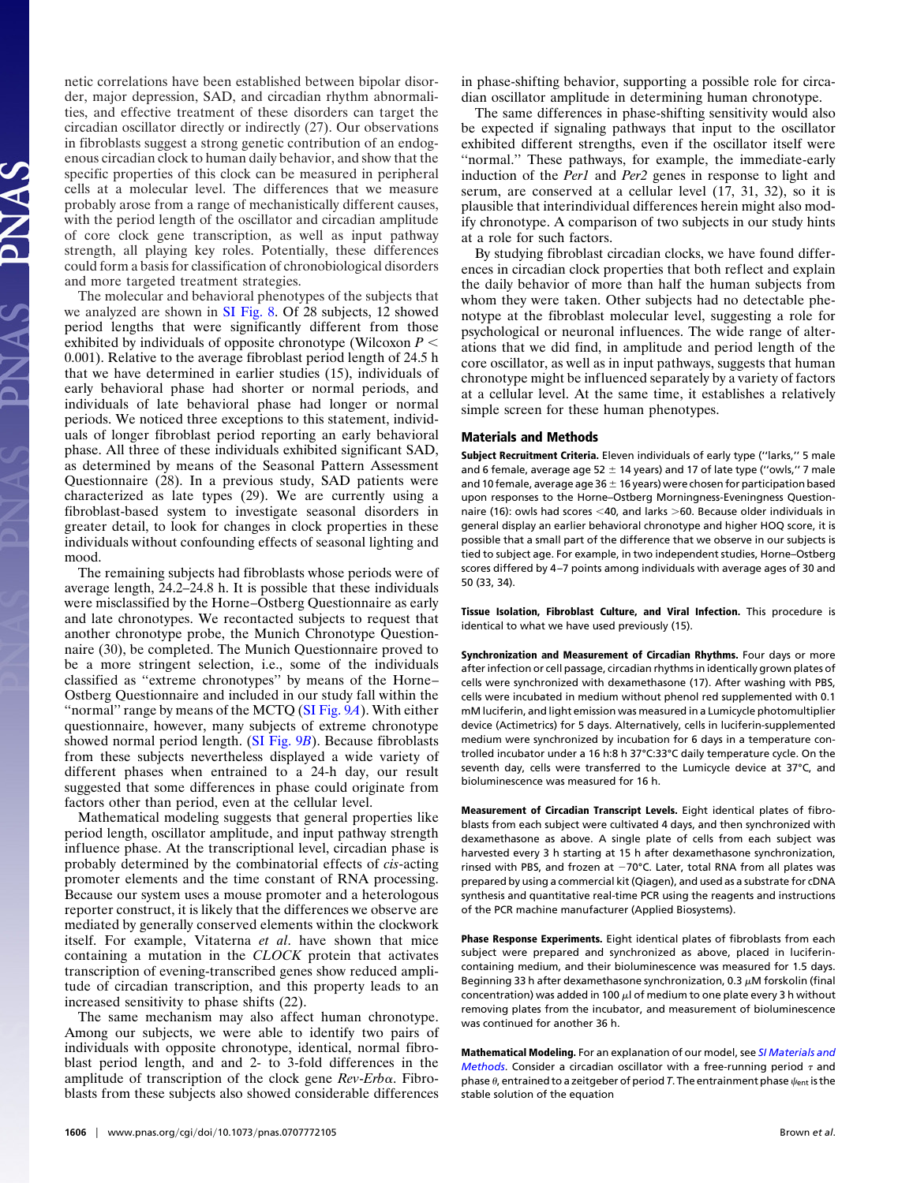netic correlations have been established between bipolar disorder, major depression, SAD, and circadian rhythm abnormalities, and effective treatment of these disorders can target the circadian oscillator directly or indirectly (27). Our observations in fibroblasts suggest a strong genetic contribution of an endogenous circadian clock to human daily behavior, and show that the specific properties of this clock can be measured in peripheral cells at a molecular level. The differences that we measure probably arose from a range of mechanistically different causes, with the period length of the oscillator and circadian amplitude of core clock gene transcription, as well as input pathway strength, all playing key roles. Potentially, these differences could form a basis for classification of chronobiological disorders and more targeted treatment strategies.

The molecular and behavioral phenotypes of the subjects that we analyzed are shown in [SI Fig. 8.](http://www.pnas.org/cgi/content/full/0707772105/DC1) Of 28 subjects, 12 showed period lengths that were significantly different from those exhibited by individuals of opposite chronotype (Wilcoxon *P* 0.001). Relative to the average fibroblast period length of 24.5 h that we have determined in earlier studies (15), individuals of early behavioral phase had shorter or normal periods, and individuals of late behavioral phase had longer or normal periods. We noticed three exceptions to this statement, individuals of longer fibroblast period reporting an early behavioral phase. All three of these individuals exhibited significant SAD, as determined by means of the Seasonal Pattern Assessment Questionnaire (28). In a previous study, SAD patients were characterized as late types (29). We are currently using a fibroblast-based system to investigate seasonal disorders in greater detail, to look for changes in clock properties in these individuals without confounding effects of seasonal lighting and mood.

The remaining subjects had fibroblasts whose periods were of average length, 24.2–24.8 h. It is possible that these individuals were misclassified by the Horne–Ostberg Questionnaire as early and late chronotypes. We recontacted subjects to request that another chronotype probe, the Munich Chronotype Questionnaire (30), be completed. The Munich Questionnaire proved to be a more stringent selection, i.e., some of the individuals classified as ''extreme chronotypes'' by means of the Horne– Ostberg Questionnaire and included in our study fall within the ''normal'' range by means of the MCTQ [\(SI Fig. 9](http://www.pnas.org/cgi/content/full/0707772105/DC1)*A*). With either questionnaire, however, many subjects of extreme chronotype showed normal period length. [\(SI Fig. 9](http://www.pnas.org/cgi/content/full/0707772105/DC1)*B*). Because fibroblasts from these subjects nevertheless displayed a wide variety of different phases when entrained to a 24-h day, our result suggested that some differences in phase could originate from factors other than period, even at the cellular level.

Mathematical modeling suggests that general properties like period length, oscillator amplitude, and input pathway strength influence phase. At the transcriptional level, circadian phase is probably determined by the combinatorial effects of *cis*-acting promoter elements and the time constant of RNA processing. Because our system uses a mouse promoter and a heterologous reporter construct, it is likely that the differences we observe are mediated by generally conserved elements within the clockwork itself. For example, Vitaterna *et al*. have shown that mice containing a mutation in the *CLOCK* protein that activates transcription of evening-transcribed genes show reduced amplitude of circadian transcription, and this property leads to an increased sensitivity to phase shifts (22).

The same mechanism may also affect human chronotype. Among our subjects, we were able to identify two pairs of individuals with opposite chronotype, identical, normal fibroblast period length, and and 2- to 3-fold differences in the amplitude of transcription of the clock gene *Rev*-*Erb*. Fibroblasts from these subjects also showed considerable differences in phase-shifting behavior, supporting a possible role for circadian oscillator amplitude in determining human chronotype.

The same differences in phase-shifting sensitivity would also be expected if signaling pathways that input to the oscillator exhibited different strengths, even if the oscillator itself were "normal." These pathways, for example, the immediate-early induction of the *Per1* and *Per2* genes in response to light and serum, are conserved at a cellular level (17, 31, 32), so it is plausible that interindividual differences herein might also modify chronotype. A comparison of two subjects in our study hints at a role for such factors.

By studying fibroblast circadian clocks, we have found differences in circadian clock properties that both reflect and explain the daily behavior of more than half the human subjects from whom they were taken. Other subjects had no detectable phenotype at the fibroblast molecular level, suggesting a role for psychological or neuronal influences. The wide range of alterations that we did find, in amplitude and period length of the core oscillator, as well as in input pathways, suggests that human chronotype might be influenced separately by a variety of factors at a cellular level. At the same time, it establishes a relatively simple screen for these human phenotypes.

### **Materials and Methods**

**Subject Recruitment Criteria.** Eleven individuals of early type (''larks,'' 5 male and 6 female, average age 52  $\pm$  14 years) and 17 of late type ("owls," 7 male and 10 female, average age 36  $\pm$  16 years) were chosen for participation based upon responses to the Horne–Ostberg Morningness-Eveningness Questionnaire (16): owls had scores <40, and larks >60. Because older individuals in general display an earlier behavioral chronotype and higher HOQ score, it is possible that a small part of the difference that we observe in our subjects is tied to subject age. For example, in two independent studies, Horne–Ostberg scores differed by 4–7 points among individuals with average ages of 30 and 50 (33, 34).

**Tissue Isolation, Fibroblast Culture, and Viral Infection.** This procedure is identical to what we have used previously (15).

**Synchronization and Measurement of Circadian Rhythms.** Four days or more after infection or cell passage, circadian rhythms in identically grown plates of cells were synchronized with dexamethasone (17). After washing with PBS, cells were incubated in medium without phenol red supplemented with 0.1 mM luciferin, and light emission was measured in a Lumicycle photomultiplier device (Actimetrics) for 5 days. Alternatively, cells in luciferin-supplemented medium were synchronized by incubation for 6 days in a temperature controlled incubator under a 16 h:8 h 37°C:33°C daily temperature cycle. On the seventh day, cells were transferred to the Lumicycle device at 37°C, and bioluminescence was measured for 16 h.

**Measurement of Circadian Transcript Levels.** Eight identical plates of fibroblasts from each subject were cultivated 4 days, and then synchronized with dexamethasone as above. A single plate of cells from each subject was harvested every 3 h starting at 15 h after dexamethasone synchronization, rinsed with PBS, and frozen at  $-70^{\circ}$ C. Later, total RNA from all plates was prepared by using a commercial kit (Qiagen), and used as a substrate for cDNA synthesis and quantitative real-time PCR using the reagents and instructions of the PCR machine manufacturer (Applied Biosystems).

**Phase Response Experiments.** Eight identical plates of fibroblasts from each subject were prepared and synchronized as above, placed in luciferincontaining medium, and their bioluminescence was measured for 1.5 days. Beginning 33 h after dexamethasone synchronization, 0.3  $\mu$ M forskolin (final concentration) was added in 100  $\mu$  of medium to one plate every 3 h without removing plates from the incubator, and measurement of bioluminescence was continued for another 36 h.

**Mathematical Modeling.** For an explanation of our model, see *[SI Materials and](http://www.pnas.org/cgi/content/full/0707772105/DC1) [Methods](http://www.pnas.org/cgi/content/full/0707772105/DC1)*. Consider a circadian oscillator with a free-running period  $\tau$  and phase  $\theta$ , entrained to a zeitgeber of period *T*. The entrainment phase  $\psi_{\text{ent}}$  is the stable solution of the equation